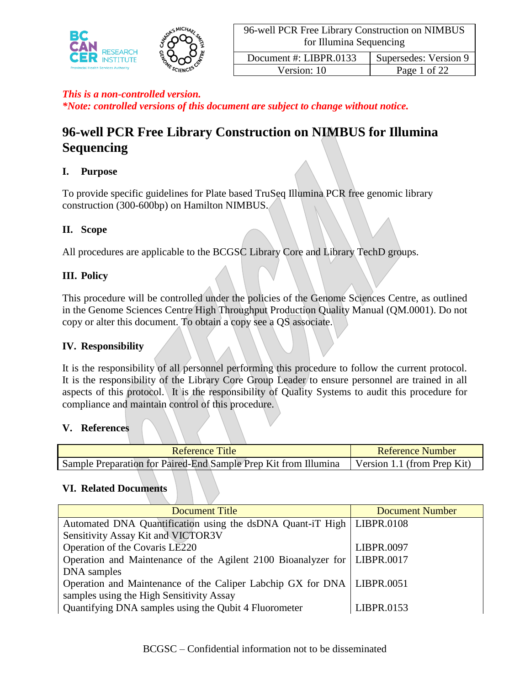

*\*Note: controlled versions of this document are subject to change without notice.*

# **96-well PCR Free Library Construction on NIMBUS for Illumina Sequencing**

### **I. Purpose**

To provide specific guidelines for Plate based TruSeq Illumina PCR free genomic library construction (300-600bp) on Hamilton NIMBUS.

### **II. Scope**

All procedures are applicable to the BCGSC Library Core and Library TechD groups.

### **III. Policy**

This procedure will be controlled under the policies of the Genome Sciences Centre, as outlined in the Genome Sciences Centre High Throughput Production Quality Manual (QM.0001). Do not copy or alter this document. To obtain a copy see a QS associate.

### **IV. Responsibility**

It is the responsibility of all personnel performing this procedure to follow the current protocol. It is the responsibility of the Library Core Group Leader to ensure personnel are trained in all aspects of this protocol. It is the responsibility of Quality Systems to audit this procedure for compliance and maintain control of this procedure.

#### **V. References**

| Reference Title                                                 | Reference Number            |
|-----------------------------------------------------------------|-----------------------------|
| Sample Preparation for Paired-End Sample Prep Kit from Illumina | Version 1.1 (from Prep Kit) |

#### **VI. Related Documents**

| Document Title                                                             | <b>Document Number</b> |
|----------------------------------------------------------------------------|------------------------|
| Automated DNA Quantification using the dsDNA Quant-iT High   LIBPR.0108    |                        |
| Sensitivity Assay Kit and VICTOR3V                                         |                        |
| Operation of the Covaris LE220                                             | LIBPR.0097             |
| Operation and Maintenance of the Agilent 2100 Bioanalyzer for   LIBPR.0017 |                        |
| DNA samples                                                                |                        |
| Operation and Maintenance of the Caliper Labchip GX for DNA   LIBPR.0051   |                        |
| samples using the High Sensitivity Assay                                   |                        |
| Quantifying DNA samples using the Qubit 4 Fluorometer                      | LIBPR.0153             |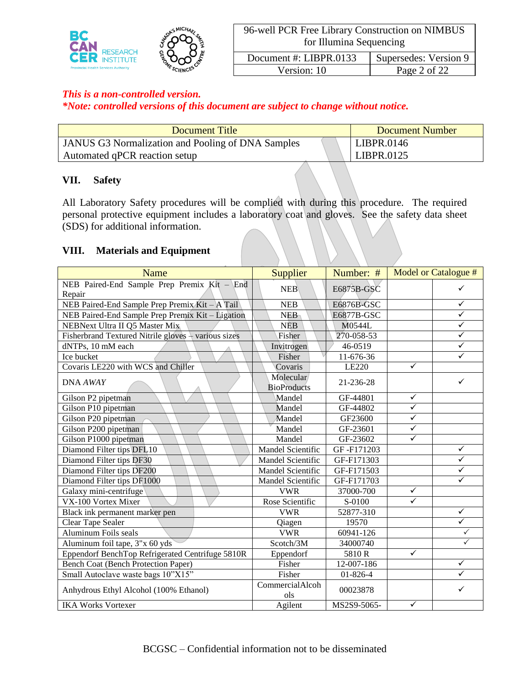

Version: 10 Page 2 of 22

## *This is a non-controlled version.*

*\*Note: controlled versions of this document are subject to change without notice.*

| Document Title                                           | Document Number |
|----------------------------------------------------------|-----------------|
| <b>JANUS G3 Normalization and Pooling of DNA Samples</b> | LIBPR.0146      |
| Automated qPCR reaction setup                            | LIBPR.0125      |

#### **VII. Safety**

All Laboratory Safety procedures will be complied with during this procedure. The required personal protective equipment includes a laboratory coat and gloves. See the safety data sheet (SDS) for additional information.

### **VIII. Materials and Equipment**

| <b>Name</b>                                             | <b>Supplier</b>                 | Number: #      |              | Model or Catalogue # |
|---------------------------------------------------------|---------------------------------|----------------|--------------|----------------------|
| NEB Paired-End Sample Prep Premix $Kit - End$<br>Repair | <b>NEB</b>                      | E6875B-GSC     |              |                      |
| NEB Paired-End Sample Prep Premix Kit - A Tail          | <b>NEB</b>                      | E6876B-GSC     |              | $\checkmark$         |
| NEB Paired-End Sample Prep Premix Kit - Ligation        | <b>NEB</b>                      | E6877B-GSC     |              | $\checkmark$         |
| NEBNext Ultra II Q5 Master Mix                          | <b>NEB</b>                      | M0544L         |              | $\checkmark$         |
| Fisherbrand Textured Nitrile gloves + various sizes     | Fisher                          | 270-058-53     |              | ✓                    |
| dNTPs, 10 mM each                                       | Invitrogen                      | 46-0519        |              | $\checkmark$         |
| Ice bucket                                              | Fisher                          | 11-676-36      |              | ✓                    |
| Covaris LE220 with WCS and Chiller                      | Covaris                         | LE220          | $\checkmark$ |                      |
| DNA AWAY                                                | Molecular<br><b>BioProducts</b> | 21-236-28      |              |                      |
| Gilson P2 pipetman                                      | Mandel                          | GF-44801       | $\checkmark$ |                      |
| Gilson P10 pipetman                                     | Mandel                          | GF-44802       | $\checkmark$ |                      |
| Gilson P20 pipetman                                     | Mandel                          | GF23600        | $\checkmark$ |                      |
| Gilson P200 pipetman                                    | Mandel                          | GF-23601       | $\checkmark$ |                      |
| Gilson P1000 pipetman                                   | Mandel                          | GF-23602       | $\checkmark$ |                      |
| Diamond Filter tips DFL10                               | <b>Mandel Scientific</b>        | GF-F171203     |              | $\checkmark$         |
| Diamond Filter tips DF30                                | Mandel Scientific               | GF-F171303     |              |                      |
| Diamond Filter tips DF200                               | <b>Mandel Scientific</b>        | GF-F171503     |              | ✓                    |
| Diamond Filter tips DF1000                              | Mandel Scientific               | GF-F171703     |              |                      |
| Galaxy mini-centrifuge                                  | <b>VWR</b>                      | 37000-700      | $\checkmark$ |                      |
| VX-100 Vortex Mixer                                     | Rose Scientific                 | S-0100         | $\checkmark$ |                      |
| Black ink permanent marker pen                          | <b>VWR</b>                      | 52877-310      |              | $\checkmark$         |
| Clear Tape Sealer                                       | Qiagen                          | 19570          |              | ✓                    |
| Aluminum Foils seals                                    | <b>VWR</b>                      | 60941-126      |              |                      |
| Aluminum foil tape, 3"x 60 yds                          | Scotch/3M                       | 34000740       |              |                      |
| Eppendorf BenchTop Refrigerated Centrifuge 5810R        | Eppendorf                       | 5810R          | $\checkmark$ |                      |
| Bench Coat (Bench Protection Paper)                     | Fisher                          | 12-007-186     |              | $\checkmark$         |
| Small Autoclave waste bags 10"X15"                      | Fisher                          | $01 - 826 - 4$ |              |                      |
| Anhydrous Ethyl Alcohol (100% Ethanol)                  | CommercialAlcoh<br>ols          | 00023878       |              |                      |
| <b>IKA Works Vortexer</b>                               | Agilent                         | MS2S9-5065-    | $\checkmark$ |                      |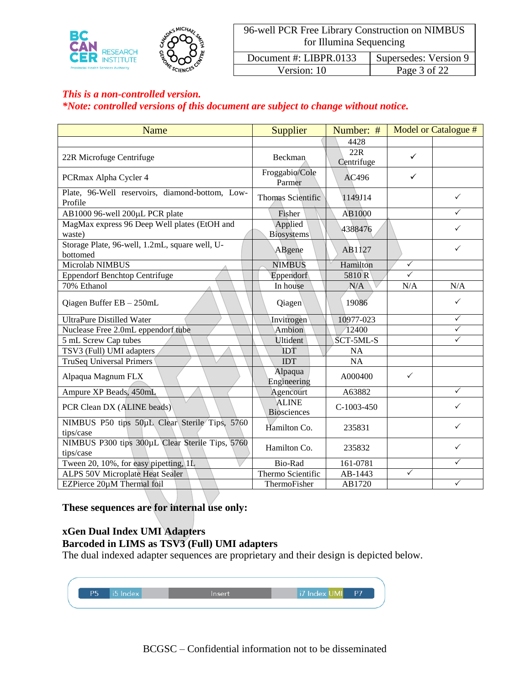

Version: 10 Page 3 of 22

### *This is a non-controlled version.*

### *\*Note: controlled versions of this document are subject to change without notice.*

| Name                                                         | Supplier                           | Number: #         |              | Model or Catalogue # |
|--------------------------------------------------------------|------------------------------------|-------------------|--------------|----------------------|
|                                                              |                                    | 4428              |              |                      |
| 22R Microfuge Centrifuge                                     | Beckman                            | 22R<br>Centrifuge | $\checkmark$ |                      |
| PCRmax Alpha Cycler 4                                        | Froggabio/Cole<br>Parmer           | AC496             | ✓            |                      |
| Plate, 96-Well reservoirs, diamond-bottom, Low-<br>Profile   | Thomas Scientific                  | 1149J14           |              | $\checkmark$         |
| AB1000 96-well 200µL PCR plate                               | Fisher                             | AB1000            |              | $\checkmark$         |
| MagMax express 96 Deep Well plates (EtOH and<br>waste)       | Applied<br><b>Biosystems</b>       | 4388476           |              | ✓                    |
| Storage Plate, 96-well, 1.2mL, square well, U-<br>bottomed   | ABgene                             | AB1127            |              | ✓                    |
| Microlab NIMBUS                                              | <b>NIMBUS</b>                      | Hamilton          | $\checkmark$ |                      |
| <b>Eppendorf Benchtop Centrifuge</b>                         | Eppendorf                          | 5810R             | $\checkmark$ |                      |
| 70% Ethanol                                                  | In house                           | N/A               | N/A          | N/A                  |
| Qiagen Buffer EB - 250mL                                     | Qiagen                             | 19086             |              | ✓                    |
| <b>UltraPure Distilled Water</b>                             | Invitrogen                         | 10977-023         |              | $\checkmark$         |
| Nuclease Free 2.0mL eppendorf tube                           | Ambion                             | 12400             |              | ✓                    |
| 5 mL Screw Cap tubes                                         | <b>Ultident</b>                    | SCT-5ML-S         |              | $\checkmark$         |
| TSV3 (Full) UMI adapters                                     | <b>IDT</b>                         | <b>NA</b>         |              |                      |
| <b>TruSeq Universal Primers</b>                              | <b>IDT</b>                         | <b>NA</b>         |              |                      |
| Alpaqua Magnum FLX                                           | Alpaqua<br>Engineering             | A000400           | ✓            |                      |
| Ampure XP Beads, 450mL                                       | Agencourt                          | A63882            |              | $\checkmark$         |
| PCR Clean DX (ALINE beads)                                   | <b>ALINE</b><br><b>Biosciences</b> | $C-1003-450$      |              | ✓                    |
| NIMBUS P50 tips 50uL Clear Sterile Tips, 5760<br>tips/case   | Hamilton Co.                       | 235831            |              | $\checkmark$         |
| NIMBUS P300 tips 300µL Clear Sterile Tips, 5760<br>tips/case | Hamilton Co.                       | 235832            |              | $\checkmark$         |
| Tween 20, 10%, for easy pipetting, 1L                        | Bio-Rad                            | 161-0781          |              | ✓                    |
| ALPS 50V Microplate Heat Sealer                              | Thermo Scientific                  | AB-1443           | ✓            |                      |
| EZPierce 20µM Thermal foil                                   | ThermoFisher                       | AB1720            |              | $\checkmark$         |

**These sequences are for internal use only:**

# **xGen Dual Index UMI Adapters Barcoded in LIMS as TSV3 (Full) UMI adapters**

The dual indexed adapter sequences are proprietary and their design is depicted below.

| P5 | i5 Index | Insert | i7 Index UMI | <b>P7</b> |  |
|----|----------|--------|--------------|-----------|--|
|    |          |        |              |           |  |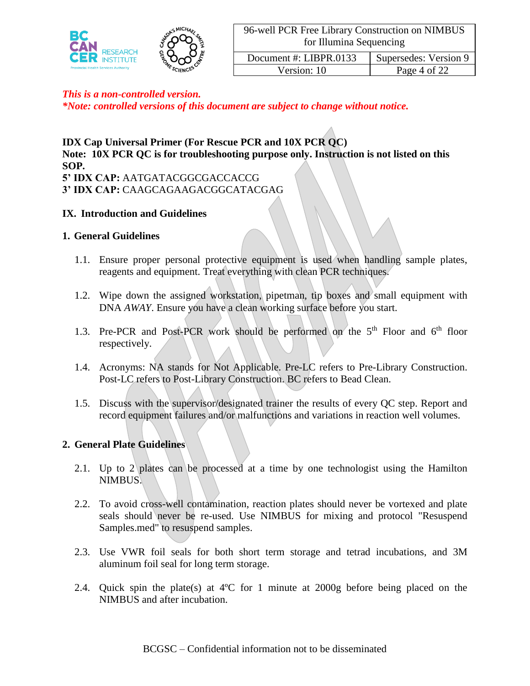

Version: 10 Page 4 of 22

### *This is a non-controlled version.*

*\*Note: controlled versions of this document are subject to change without notice.*

## **IDX Cap Universal Primer (For Rescue PCR and 10X PCR QC)**

**Note: 10X PCR QC is for troubleshooting purpose only. Instruction is not listed on this SOP.**

**5' IDX CAP:** AATGATACGGCGACCACCG **3' IDX CAP:** CAAGCAGAAGACGGCATACGAG

#### **IX. Introduction and Guidelines**

#### **1. General Guidelines**

- 1.1. Ensure proper personal protective equipment is used when handling sample plates, reagents and equipment. Treat everything with clean PCR techniques.
- 1.2. Wipe down the assigned workstation, pipetman, tip boxes and small equipment with DNA *AWAY*. Ensure you have a clean working surface before you start.
- 1.3. Pre-PCR and Post-PCR work should be performed on the  $5<sup>th</sup>$  Floor and  $6<sup>th</sup>$  floor respectively.
- 1.4. Acronyms: NA stands for Not Applicable. Pre-LC refers to Pre-Library Construction. Post-LC refers to Post-Library Construction. BC refers to Bead Clean.
- 1.5. Discuss with the supervisor/designated trainer the results of every QC step. Report and record equipment failures and/or malfunctions and variations in reaction well volumes.

#### **2. General Plate Guidelines**

- 2.1. Up to 2 plates can be processed at a time by one technologist using the Hamilton NIMBUS.
- 2.2. To avoid cross-well contamination, reaction plates should never be vortexed and plate seals should never be re-used. Use NIMBUS for mixing and protocol "Resuspend Samples.med" to resuspend samples.
- 2.3. Use VWR foil seals for both short term storage and tetrad incubations, and 3M aluminum foil seal for long term storage.
- 2.4. Quick spin the plate(s) at 4ºC for 1 minute at 2000g before being placed on the NIMBUS and after incubation.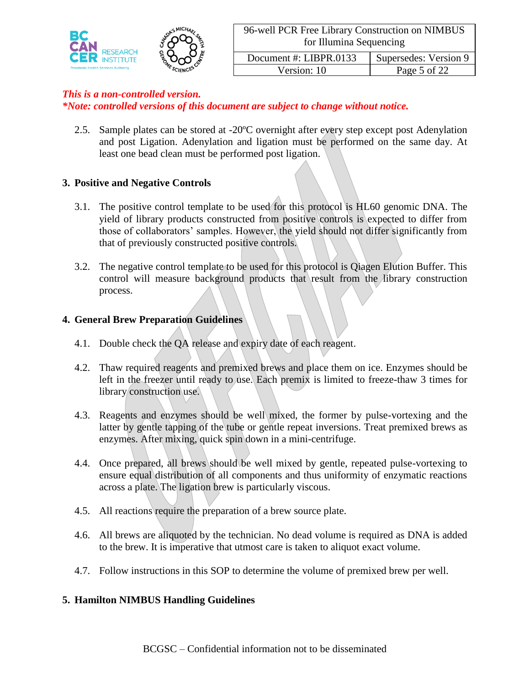

Version: 10 Page 5 of 22

### *This is a non-controlled version.*

*\*Note: controlled versions of this document are subject to change without notice.*

2.5. Sample plates can be stored at -20ºC overnight after every step except post Adenylation and post Ligation. Adenylation and ligation must be performed on the same day. At least one bead clean must be performed post ligation.

### **3. Positive and Negative Controls**

- 3.1. The positive control template to be used for this protocol is HL60 genomic DNA. The yield of library products constructed from positive controls is expected to differ from those of collaborators' samples. However, the yield should not differ significantly from that of previously constructed positive controls.
- 3.2. The negative control template to be used for this protocol is Qiagen Elution Buffer. This control will measure background products that result from the library construction process.

### **4. General Brew Preparation Guidelines**

- 4.1. Double check the QA release and expiry date of each reagent.
- 4.2. Thaw required reagents and premixed brews and place them on ice. Enzymes should be left in the freezer until ready to use. Each premix is limited to freeze-thaw 3 times for library construction use.
- 4.3. Reagents and enzymes should be well mixed, the former by pulse-vortexing and the latter by gentle tapping of the tube or gentle repeat inversions. Treat premixed brews as enzymes. After mixing, quick spin down in a mini-centrifuge.
- 4.4. Once prepared, all brews should be well mixed by gentle, repeated pulse-vortexing to ensure equal distribution of all components and thus uniformity of enzymatic reactions across a plate. The ligation brew is particularly viscous.
- 4.5. All reactions require the preparation of a brew source plate.
- 4.6. All brews are aliquoted by the technician. No dead volume is required as DNA is added to the brew. It is imperative that utmost care is taken to aliquot exact volume.
- 4.7. Follow instructions in this SOP to determine the volume of premixed brew per well.

#### **5. Hamilton NIMBUS Handling Guidelines**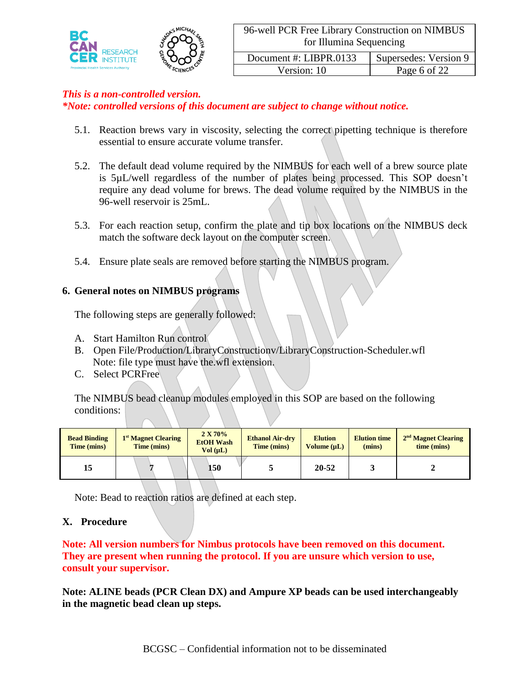

Version: 10 Page 6 of 22

### *This is a non-controlled version.*

*\*Note: controlled versions of this document are subject to change without notice.*

- 5.1. Reaction brews vary in viscosity, selecting the correct pipetting technique is therefore essential to ensure accurate volume transfer.
- 5.2. The default dead volume required by the NIMBUS for each well of a brew source plate is 5µL/well regardless of the number of plates being processed. This SOP doesn't require any dead volume for brews. The dead volume required by the NIMBUS in the 96-well reservoir is 25mL.
- 5.3. For each reaction setup, confirm the plate and tip box locations on the NIMBUS deck match the software deck layout on the computer screen.
- 5.4. Ensure plate seals are removed before starting the NIMBUS program.

#### **6. General notes on NIMBUS programs**

The following steps are generally followed:

- A. Start Hamilton Run control
- B. Open File/Production/LibraryConstructionv/LibraryConstruction-Scheduler.wfl Note: file type must have the.wfl extension.
- C. Select PCRFree

The NIMBUS bead cleanup modules employed in this SOP are based on the following conditions:

| <b>Bead Binding</b><br>Time (mins) | 1 <sup>st</sup> Magnet Clearing<br>Time (mins) | 2 X 70%<br><b>EtOH</b> Wash<br>Vol (uL) | <b>Ethanol Air-dry</b><br>Time (mins) | <b>Elution</b><br>Volume $(\mu L)$ | <b>Elution time</b><br>(mins) | $2nd$ Magnet Clearing<br>time (mins) |
|------------------------------------|------------------------------------------------|-----------------------------------------|---------------------------------------|------------------------------------|-------------------------------|--------------------------------------|
| 15                                 |                                                | 150                                     |                                       | 20-52                              |                               |                                      |

Note: Bead to reaction ratios are defined at each step.

### **X. Procedure**

**Note: All version numbers for Nimbus protocols have been removed on this document. They are present when running the protocol. If you are unsure which version to use, consult your supervisor.**

**Note: ALINE beads (PCR Clean DX) and Ampure XP beads can be used interchangeably in the magnetic bead clean up steps.**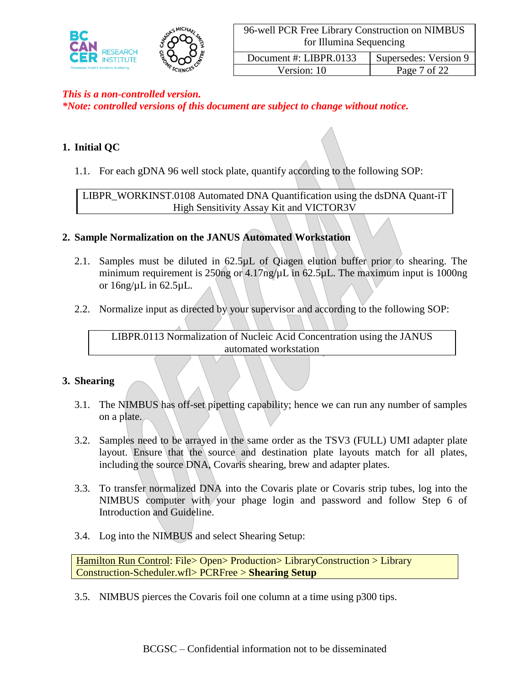

| Document #: LIBPR.0133 | Supersedes: Version 9 |
|------------------------|-----------------------|
| Version: 10            | Page 7 of 22          |

*\*Note: controlled versions of this document are subject to change without notice.*

# **1. Initial QC**

1.1. For each gDNA 96 well stock plate, quantify according to the following SOP:

LIBPR\_WORKINST.0108 Automated DNA Quantification using the dsDNA Quant-iT High Sensitivity Assay Kit and VICTOR3V

# **2. Sample Normalization on the JANUS Automated Workstation**

- 2.1. Samples must be diluted in  $62.5\mu L$  of Qiagen elution buffer prior to shearing. The minimum requirement is  $250$ ng or  $4.17$ ng/ $\mu$ L in  $62.5\mu$ L. The maximum input is 1000ng or  $16$ ng/ $\mu$ L in 62.5 $\mu$ L.
- 2.2. Normalize input as directed by your supervisor and according to the following SOP:

LIBPR.0113 Normalization of Nucleic Acid Concentration using the JANUS automated workstation

### **3. Shearing**

- 3.1. The NIMBUS has off-set pipetting capability; hence we can run any number of samples on a plate.
- 3.2. Samples need to be arrayed in the same order as the TSV3 (FULL) UMI adapter plate layout. Ensure that the source and destination plate layouts match for all plates, including the source DNA, Covaris shearing, brew and adapter plates.
- 3.3. To transfer normalized DNA into the Covaris plate or Covaris strip tubes, log into the NIMBUS computer with your phage login and password and follow Step 6 of Introduction and Guideline.
- 3.4. Log into the NIMBUS and select Shearing Setup:

Hamilton Run Control: File> Open> Production> LibraryConstruction > Library Construction-Scheduler.wfl> PCRFree > **Shearing Setup**

3.5. NIMBUS pierces the Covaris foil one column at a time using p300 tips.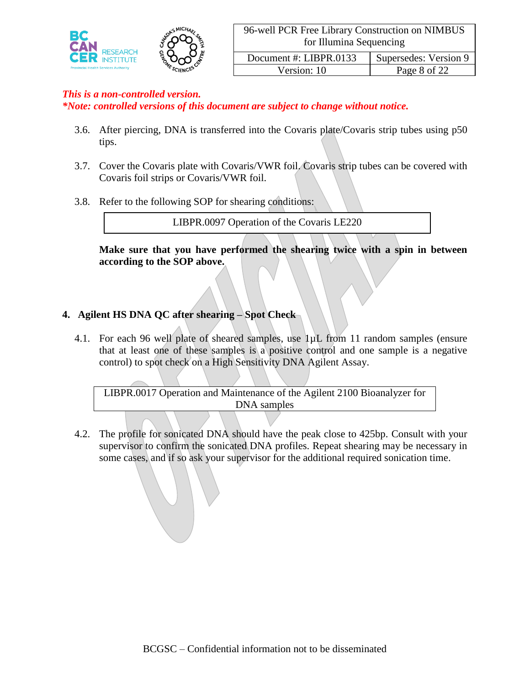

Version: 10 Page 8 of 22

### *This is a non-controlled version.*

*\*Note: controlled versions of this document are subject to change without notice.*

- 3.6. After piercing, DNA is transferred into the Covaris plate/Covaris strip tubes using p50 tips.
- 3.7. Cover the Covaris plate with Covaris/VWR foil. Covaris strip tubes can be covered with Covaris foil strips or Covaris/VWR foil.
- 3.8. Refer to the following SOP for shearing conditions:

LIBPR.0097 Operation of the Covaris LE220

**Make sure that you have performed the shearing twice with a spin in between according to the SOP above.**

### **4. Agilent HS DNA QC after shearing – Spot Check**

4.1. For each 96 well plate of sheared samples, use 1µL from 11 random samples (ensure that at least one of these samples is a positive control and one sample is a negative control) to spot check on a High Sensitivity DNA Agilent Assay.

LIBPR.0017 Operation and Maintenance of the Agilent 2100 Bioanalyzer for DNA samples

4.2. The profile for sonicated DNA should have the peak close to 425bp. Consult with your supervisor to confirm the sonicated DNA profiles. Repeat shearing may be necessary in some cases, and if so ask your supervisor for the additional required sonication time.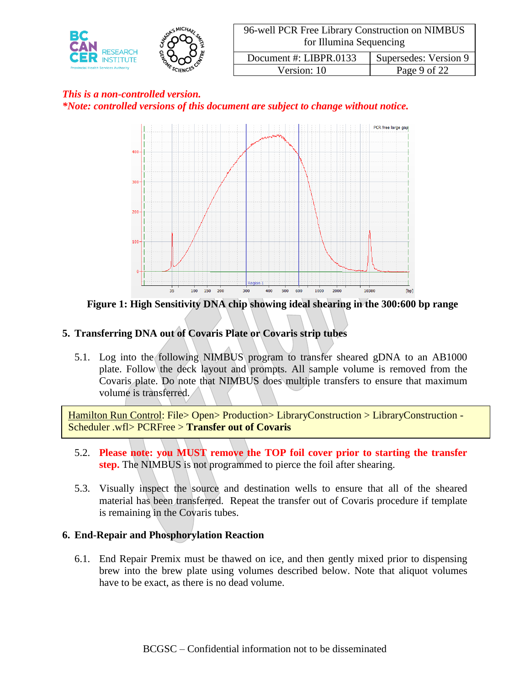

# *This is a non-controlled version. \*Note: controlled versions of this document are subject to change without notice.*



**Figure 1: High Sensitivity DNA chip showing ideal shearing in the 300:600 bp range**

# **5. Transferring DNA out of Covaris Plate or Covaris strip tubes**

5.1. Log into the following NIMBUS program to transfer sheared gDNA to an AB1000 plate. Follow the deck layout and prompts. All sample volume is removed from the Covaris plate. Do note that NIMBUS does multiple transfers to ensure that maximum volume is transferred.

Hamilton Run Control: File> Open> Production> LibraryConstruction > LibraryConstruction - Scheduler .wfl> PCRFree > **Transfer out of Covaris**

- 5.2. **Please note: you MUST remove the TOP foil cover prior to starting the transfer step.** The NIMBUS is not programmed to pierce the foil after shearing.
- 5.3. Visually inspect the source and destination wells to ensure that all of the sheared material has been transferred. Repeat the transfer out of Covaris procedure if template is remaining in the Covaris tubes.

### **6. End-Repair and Phosphorylation Reaction**

6.1. End Repair Premix must be thawed on ice, and then gently mixed prior to dispensing brew into the brew plate using volumes described below. Note that aliquot volumes have to be exact, as there is no dead volume.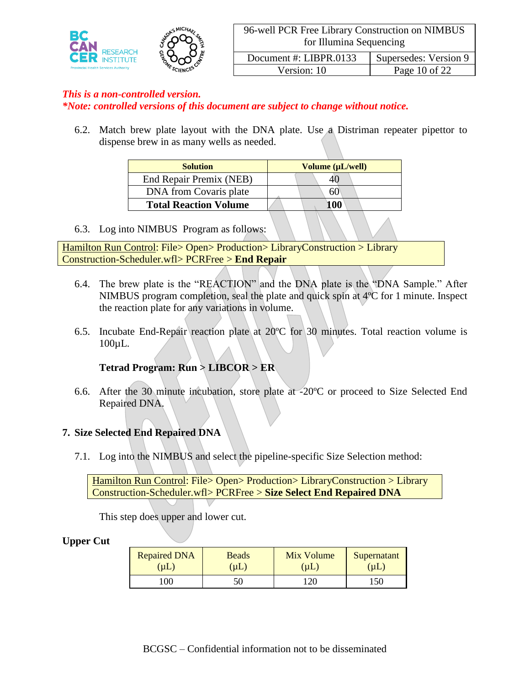

Version: 10 Page 10 of 22

### *This is a non-controlled version.*

*\*Note: controlled versions of this document are subject to change without notice.*

6.2. Match brew plate layout with the DNA plate. Use a Distriman repeater pipettor to dispense brew in as many wells as needed.

| <b>Solution</b>              | Volume (µL/well) |
|------------------------------|------------------|
| End Repair Premix (NEB)      | 40               |
| DNA from Covaris plate       | 60               |
| <b>Total Reaction Volume</b> | 100              |

6.3. Log into NIMBUS Program as follows:

Hamilton Run Control: File> Open> Production> LibraryConstruction > Library Construction-Scheduler.wfl> PCRFree > **End Repair**

- 6.4. The brew plate is the "REACTION" and the DNA plate is the "DNA Sample." After NIMBUS program completion, seal the plate and quick spin at 4ºC for 1 minute. Inspect the reaction plate for any variations in volume.
- 6.5. Incubate End-Repair reaction plate at  $20^{\circ}$ C for 30 minutes. Total reaction volume is 100µL.

### **Tetrad Program: Run > LIBCOR > ER**

6.6. After the 30 minute incubation, store plate at -20ºC or proceed to Size Selected End Repaired DNA.

#### **7. Size Selected End Repaired DNA**

7.1. Log into the NIMBUS and select the pipeline-specific Size Selection method:

Hamilton Run Control: File> Open> Production> LibraryConstruction > Library Construction-Scheduler.wfl> PCRFree > **Size Select End Repaired DNA**

This step does upper and lower cut.

#### **Upper Cut**

| <b>Repaired DNA</b> | Beads | Mix Volume | Supernatant |
|---------------------|-------|------------|-------------|
| (µ $\mathsf{L}$     | (UL)  | (IL)       | uL          |
| 100                 |       | חרי        |             |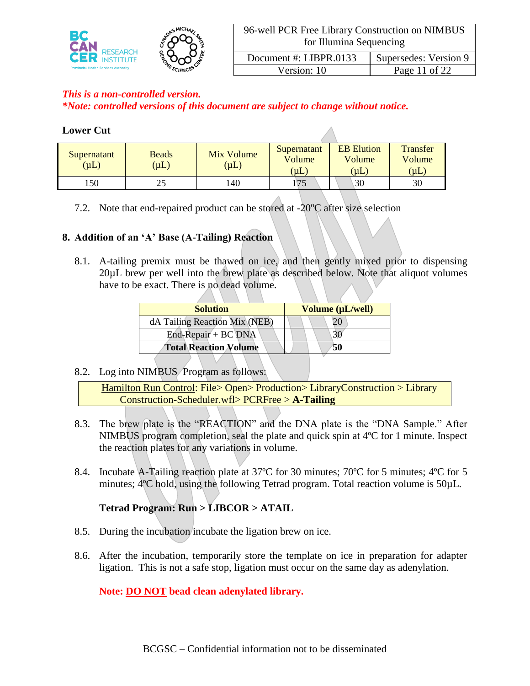

Version: 10 Page 11 of 22

# *This is a non-controlled version.*

*\*Note: controlled versions of this document are subject to change without notice.*

### **Lower Cut**

| Supernatant<br>$(\mu L)$ | <b>Beads</b><br>$(\mu L)$ | Mix Volume<br>$(\mu L)$ | Supernatant<br>Volume<br>(µL) | <b>EB</b> Elution<br>Volume<br>$(\mu L)$ | <b>Transfer</b><br>Volume<br>$(\mu L)$ |
|--------------------------|---------------------------|-------------------------|-------------------------------|------------------------------------------|----------------------------------------|
| .50                      |                           | 140                     | 175                           | 30                                       | 30                                     |

7.2. Note that end-repaired product can be stored at  $-20^{\circ}$ C after size selection

### **8. Addition of an 'A' Base (A-Tailing) Reaction**

8.1. A-tailing premix must be thawed on ice, and then gently mixed prior to dispensing 20µL brew per well into the brew plate as described below. Note that aliquot volumes have to be exact. There is no dead volume.

| <b>Solution</b>               | Volume (µL/well) |
|-------------------------------|------------------|
| dA Tailing Reaction Mix (NEB) |                  |
| $End$ -Repair + BC DNA        |                  |
| <b>Total Reaction Volume</b>  | 50               |

### 8.2. Log into NIMBUS Program as follows:

Hamilton Run Control: File> Open> Production> LibraryConstruction > Library Construction-Scheduler.wfl> PCRFree > **A-Tailing**

- 8.3. The brew plate is the "REACTION" and the DNA plate is the "DNA Sample." After NIMBUS program completion, seal the plate and quick spin at 4ºC for 1 minute. Inspect the reaction plates for any variations in volume.
- 8.4. Incubate A-Tailing reaction plate at 37<sup>o</sup>C for 30 minutes; 70<sup>o</sup>C for 5 minutes; 4<sup>o</sup>C for 5 minutes; 4<sup>o</sup>C hold, using the following Tetrad program. Total reaction volume is 50 $\mu$ L.

# **Tetrad Program: Run > LIBCOR > ATAIL**

- 8.5. During the incubation incubate the ligation brew on ice.
- 8.6. After the incubation, temporarily store the template on ice in preparation for adapter ligation. This is not a safe stop, ligation must occur on the same day as adenylation.

# **Note: DO NOT bead clean adenylated library.**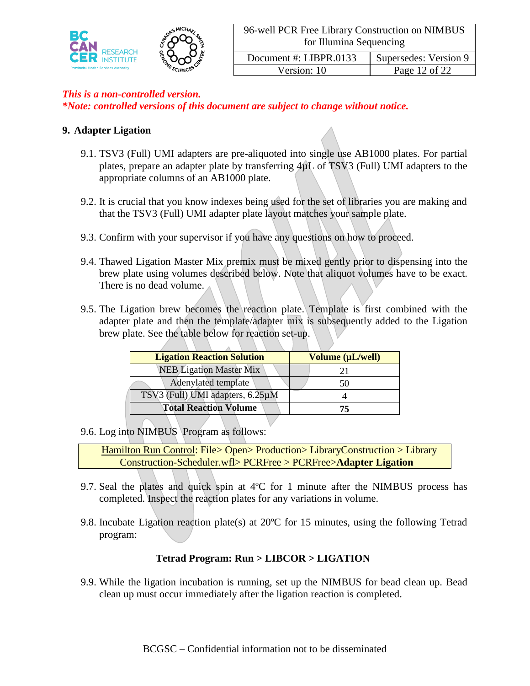

Version: 10 Page 12 of 22

### *This is a non-controlled version.*

*\*Note: controlled versions of this document are subject to change without notice.*

### **9. Adapter Ligation**

- 9.1. TSV3 (Full) UMI adapters are pre-aliquoted into single use AB1000 plates. For partial plates, prepare an adapter plate by transferring  $4\mu L$  of TSV3 (Full) UMI adapters to the appropriate columns of an AB1000 plate.
- 9.2. It is crucial that you know indexes being used for the set of libraries you are making and that the TSV3 (Full) UMI adapter plate layout matches your sample plate.
- 9.3. Confirm with your supervisor if you have any questions on how to proceed.
- 9.4. Thawed Ligation Master Mix premix must be mixed gently prior to dispensing into the brew plate using volumes described below. Note that aliquot volumes have to be exact. There is no dead volume.
- 9.5. The Ligation brew becomes the reaction plate. Template is first combined with the adapter plate and then the template/adapter mix is subsequently added to the Ligation brew plate. See the table below for reaction set-up.

| <b>Ligation Reaction Solution</b> | Volume (µL/well) |
|-----------------------------------|------------------|
| <b>NEB Ligation Master Mix</b>    |                  |
| Adenylated template               |                  |
| TSV3 (Full) UMI adapters, 6.25µM  |                  |
| <b>Total Reaction Volume</b>      |                  |

9.6. Log into NIMBUS Program as follows:

Hamilton Run Control: File> Open> Production> LibraryConstruction > Library Construction-Scheduler.wfl> PCRFree > PCRFree>**Adapter Ligation**

- 9.7. Seal the plates and quick spin at 4ºC for 1 minute after the NIMBUS process has completed. Inspect the reaction plates for any variations in volume.
- 9.8. Incubate Ligation reaction plate(s) at 20ºC for 15 minutes, using the following Tetrad program:

### **Tetrad Program: Run > LIBCOR > LIGATION**

9.9. While the ligation incubation is running, set up the NIMBUS for bead clean up. Bead clean up must occur immediately after the ligation reaction is completed.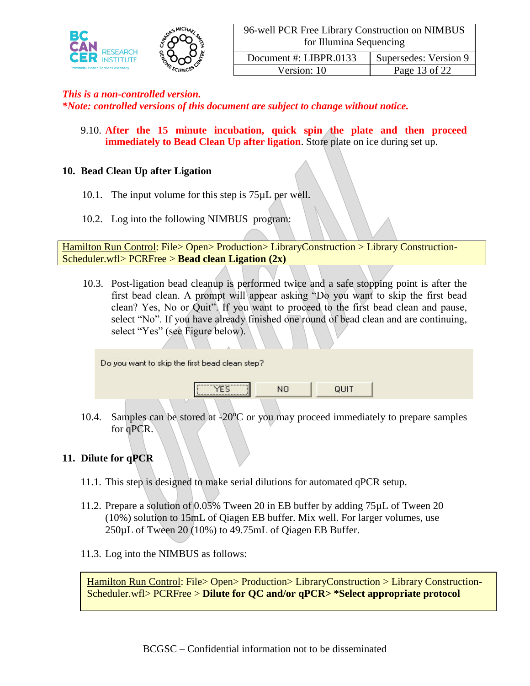

Version: 10 Page 13 of 22

#### *This is a non-controlled version.*

*\*Note: controlled versions of this document are subject to change without notice.*

9.10. **After the 15 minute incubation, quick spin the plate and then proceed immediately to Bead Clean Up after ligation**. Store plate on ice during set up.

#### **10. Bead Clean Up after Ligation**

- 10.1. The input volume for this step is 75µL per well.
- 10.2. Log into the following NIMBUS program:

Hamilton Run Control: File> Open> Production> LibraryConstruction > Library Construction-Scheduler.wfl> PCRFree > **Bead clean Ligation (2x)**

10.3. Post-ligation bead cleanup is performed twice and a safe stopping point is after the first bead clean. A prompt will appear asking "Do you want to skip the first bead clean? Yes, No or Quit". If you want to proceed to the first bead clean and pause, select "No". If you have already finished one round of bead clean and are continuing, select "Yes" (see Figure below).

| ,,,,,,,,,,,,,,,,,,,,,,,,,,,,,,,,,,<br>NO<br>QUIT<br>,,,,,,,,,,,,,,,,,,,,,,,,,,,,,,,,,, | Do you want to skip the first bead clean step? |  |  |
|----------------------------------------------------------------------------------------|------------------------------------------------|--|--|
|                                                                                        |                                                |  |  |

10.4. Samples can be stored at  $-20^{\circ}$ C or you may proceed immediately to prepare samples for qPCR.

#### **11. Dilute for qPCR**

- 11.1. This step is designed to make serial dilutions for automated qPCR setup.
- 11.2. Prepare a solution of 0.05% Tween 20 in EB buffer by adding 75µL of Tween 20 (10%) solution to 15mL of Qiagen EB buffer. Mix well. For larger volumes, use 250µL of Tween 20 (10%) to 49.75mL of Qiagen EB Buffer.
- 11.3. Log into the NIMBUS as follows:

 $\frac{1}{2}$  secolities:  $\frac{1}{2}$  select the appropriate protocol:  $\frac{1}{2}$  set up for  $\frac{1}{2}$ Hamilton Run Control: File> Open> Production> LibraryConstruction > Library Construction-Scheduler.wfl> PCRFree > **Dilute for QC and/or qPCR> \*Select appropriate protocol**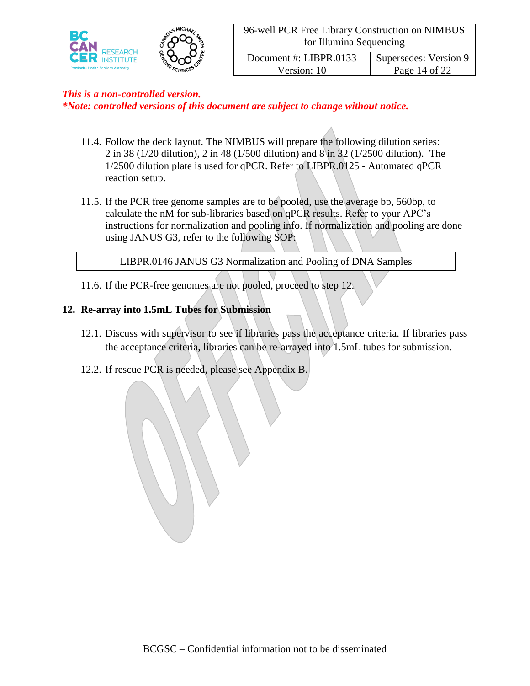

Version: 10 Page 14 of 22

# *This is a non-controlled version.*

*\*Note: controlled versions of this document are subject to change without notice.*

- 11.4. Follow the deck layout. The NIMBUS will prepare the following dilution series: 2 in 38 (1/20 dilution), 2 in 48 (1/500 dilution) and 8 in 32 (1/2500 dilution). The 1/2500 dilution plate is used for qPCR. Refer to LIBPR.0125 - Automated qPCR reaction setup.
- 11.5. If the PCR free genome samples are to be pooled, use the average bp, 560bp, to calculate the nM for sub-libraries based on qPCR results. Refer to your APC's instructions for normalization and pooling info. If normalization and pooling are done using JANUS G3, refer to the following SOP:

LIBPR.0146 JANUS G3 Normalization and Pooling of DNA Samples

11.6. If the PCR-free genomes are not pooled, proceed to step 12.

### **12. Re-array into 1.5mL Tubes for Submission**

- 12.1. Discuss with supervisor to see if libraries pass the acceptance criteria. If libraries pass the acceptance criteria, libraries can be re-arrayed into 1.5mL tubes for submission.
- 12.2. If rescue PCR is needed, please see Appendix B.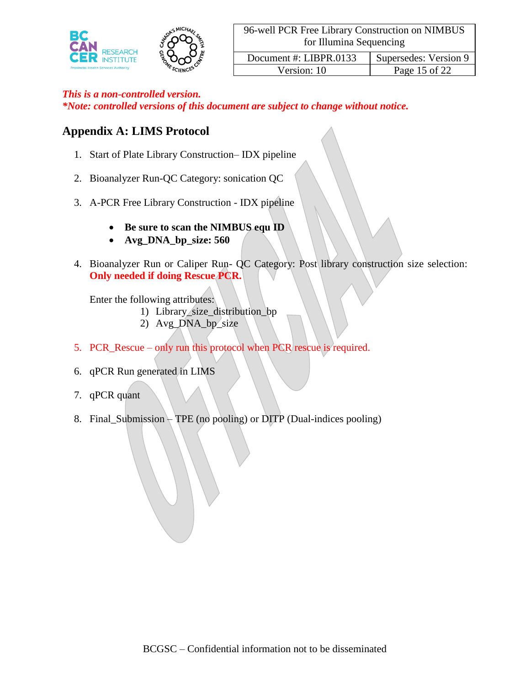

*\*Note: controlled versions of this document are subject to change without notice.*

# **Appendix A: LIMS Protocol**

- 1. Start of Plate Library Construction– IDX pipeline
- 2. Bioanalyzer Run-QC Category: sonication QC
- 3. A-PCR Free Library Construction IDX pipeline
	- **Be sure to scan the NIMBUS equ ID**
	- **Avg\_DNA\_bp\_size: 560**
- 4. Bioanalyzer Run or Caliper Run- QC Category: Post library construction size selection: **Only needed if doing Rescue PCR.**

Enter the following attributes:

- 1) Library\_size\_distribution\_bp
- 2) Avg\_DNA\_bp\_size
- 5. PCR\_Rescue only run this protocol when PCR rescue is required.
- 6. qPCR Run generated in LIMS
- 7. qPCR quant
- 8. Final\_Submission TPE (no pooling) or DITP (Dual-indices pooling)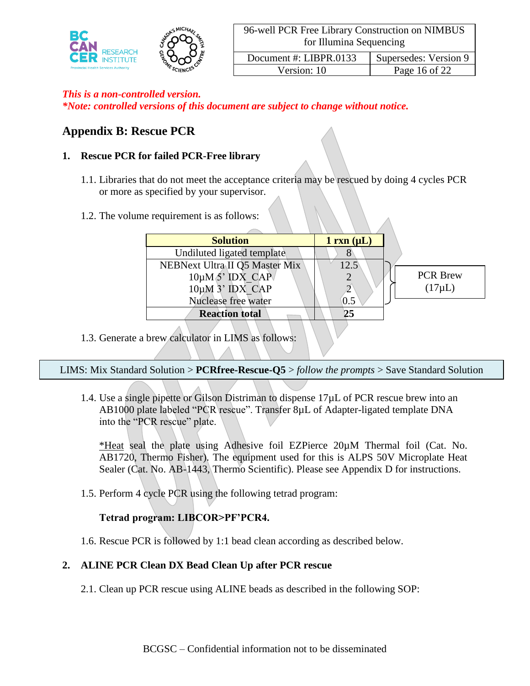

*\*Note: controlled versions of this document are subject to change without notice.*

# **Appendix B: Rescue PCR**

### **1. Rescue PCR for failed PCR-Free library**

- 1.1. Libraries that do not meet the acceptance criteria may be rescued by doing 4 cycles PCR or more as specified by your supervisor.
- 1.2. The volume requirement is as follows:

| <b>Solution</b>                | $1 \, \text{rxn} \, (\mu L)$ |                 |
|--------------------------------|------------------------------|-----------------|
| Undiluted ligated template     |                              |                 |
| NEBNext Ultra II Q5 Master Mix | 12.5                         |                 |
| $10\mu M$ 5' IDX CAP           |                              | <b>PCR Brew</b> |
| $10\mu M$ 3' IDX CAP           |                              | $(17\mu L)$     |
| Nuclease free water            | 0.5                          |                 |
| <b>Reaction total</b>          |                              |                 |
|                                |                              |                 |

1.3. Generate a brew calculator in LIMS as follows:

LIMS: Mix Standard Solution > **PCRfree-Rescue-Q5** > *follow the prompts* > Save Standard Solution

1.4. Use a single pipette or Gilson Distriman to dispense 17µL of PCR rescue brew into an AB1000 plate labeled "PCR rescue". Transfer 8µL of Adapter-ligated template DNA into the "PCR rescue" plate.

\*Heat seal the plate using Adhesive foil EZPierce 20µM Thermal foil (Cat. No. AB1720, Thermo Fisher). The equipment used for this is ALPS 50V Microplate Heat Sealer (Cat. No. AB-1443, Thermo Scientific). Please see Appendix D for instructions.

1.5. Perform 4 cycle PCR using the following tetrad program:

# **Tetrad program: LIBCOR>PF'PCR4.**

1.6. Rescue PCR is followed by 1:1 bead clean according as described below.

### **2. ALINE PCR Clean DX Bead Clean Up after PCR rescue**

2.1. Clean up PCR rescue using ALINE beads as described in the following SOP: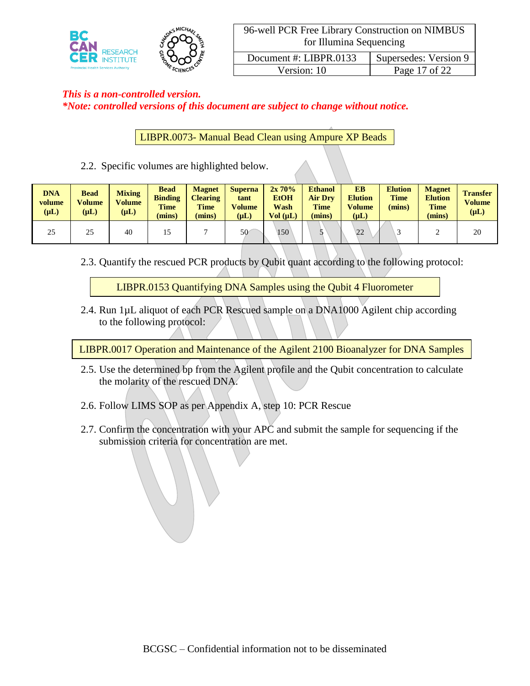

# *This is a non-controlled version. \*Note: controlled versions of this document are subject to change without notice.*

LIBPR.0073- Manual Bead Clean using Ampure XP Beads

2.2. Specific volumes are highlighted below.

| <b>DNA</b><br>volume<br>$(\mu L)$ | <b>Bead</b><br><b>Volume</b><br>$(\mu L)$ | <b>Mixing</b><br>Volume<br>$(\mu L)$ | <b>Bead</b><br><b>Binding</b><br><b>Time</b><br>mins) | <b>Magnet</b><br><b>Clearing</b><br><b>Time</b><br>(mins) | <b>Superna</b><br>tant<br>Volume<br>$(\mu L)$ | 2x70%<br><b>EtOH</b><br>Wash<br>Vol (uL) | <b>Ethanol</b><br><b>Air Dry</b><br><b>Time</b><br>(mins) | EB<br><b>Elution</b><br><b>Volume</b><br>$(\mu L)$ | <b>Elution</b><br><b>Time</b><br>(mins) | <b>Magnet</b><br><b>Elution</b><br><b>Time</b><br>(mins) | <b>Transfer</b><br><b>Volume</b><br>$(\mu L)$ |
|-----------------------------------|-------------------------------------------|--------------------------------------|-------------------------------------------------------|-----------------------------------------------------------|-----------------------------------------------|------------------------------------------|-----------------------------------------------------------|----------------------------------------------------|-----------------------------------------|----------------------------------------------------------|-----------------------------------------------|
| 25                                | 25                                        | 40                                   |                                                       |                                                           | 50                                            | 150                                      |                                                           | 22                                                 |                                         |                                                          | 20                                            |

2.3. Quantify the rescued PCR products by Qubit quant according to the following protocol:

LIBPR.0153 Quantifying DNA Samples using the Qubit 4 Fluorometer

2.4. Run 1µL aliquot of each PCR Rescued sample on a DNA1000 Agilent chip according to the following protocol:

LIBPR.0017 Operation and Maintenance of the Agilent 2100 Bioanalyzer for DNA Samples

- 2.5. Use the determined bp from the Agilent profile and the Qubit concentration to calculate the molarity of the rescued DNA.
- 2.6. Follow LIMS SOP as per Appendix A, step 10: PCR Rescue
- 2.7. Confirm the concentration with your APC and submit the sample for sequencing if the submission criteria for concentration are met.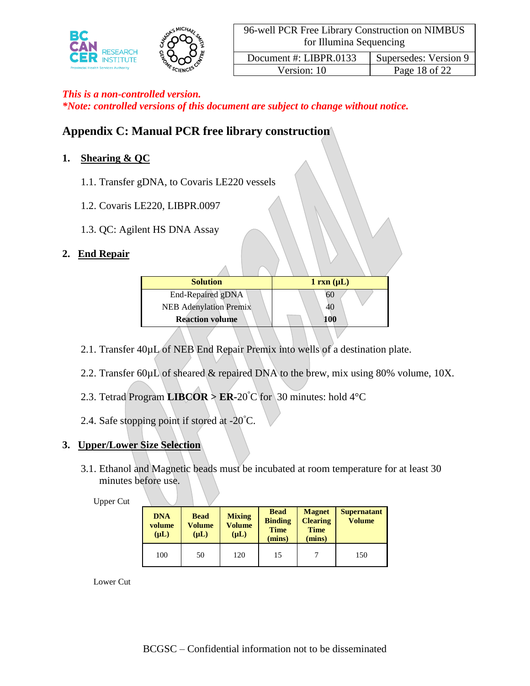

*\*Note: controlled versions of this document are subject to change without notice.*

# **Appendix C: Manual PCR free library construction**

# **1. Shearing & QC**

- 1.1. Transfer gDNA, to Covaris LE220 vessels
- 1.2. Covaris LE220, LIBPR.0097
- 1.3. QC: Agilent HS DNA Assay

# **2. End Repair**

| <b>Solution</b>               | $1 \text{ rxn } (\mu L)$ |
|-------------------------------|--------------------------|
| End-Repaired gDNA             |                          |
| <b>NEB Adenylation Premix</b> | 40                       |
| <b>Reaction volume</b>        | 100                      |

- 2.1. Transfer 40µL of NEB End Repair Premix into wells of a destination plate.
- 2.2. Transfer 60µL of sheared & repaired DNA to the brew, mix using 80% volume, 10X.
- 2.3. Tetrad Program **LIBCOR** >  $ER-20^{\circ}C$  for 30 minutes: hold 4 °C
- 2.4. Safe stopping point if stored at -20°C.

### **3. Upper/Lower Size Selection**

3.1. Ethanol and Magnetic beads must be incubated at room temperature for at least 30 minutes before use.

#### Upper Cut

| <b>DNA</b><br>volume<br>$(\mu L)$ | <b>Bead</b><br>Volume<br>$(\mu L)$ | <b>Mixing</b><br>Volume<br>$(\mu L)$ | <b>Bead</b><br><b>Binding</b><br><b>Time</b><br>(mins) | <b>Magnet</b><br><b>Clearing</b><br><b>Time</b><br>(mins) | <b>Supernatant</b><br><b>Volume</b> |
|-----------------------------------|------------------------------------|--------------------------------------|--------------------------------------------------------|-----------------------------------------------------------|-------------------------------------|
| 100                               | 50                                 | 120                                  | 15                                                     |                                                           | 150                                 |

Lower Cut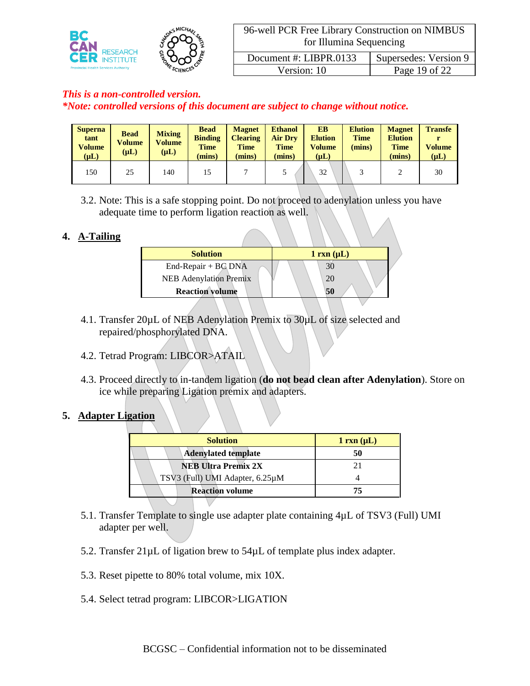

Version: 10 Page 19 of 22

### *This is a non-controlled version.*

*\*Note: controlled versions of this document are subject to change without notice.*

| <b>Superna</b><br>tant<br><b>Volume</b><br>$(\mu L)$ | <b>Bead</b><br>Volume<br>$(\mu L)$ | <b>Mixing</b><br>Volume<br>$(\mu L)$ | <b>Bead</b><br><b>Binding</b><br><b>Time</b><br>(mins) | <b>Magnet</b><br><b>Clearing</b><br><b>Time</b><br>(mins) | <b>Ethanol</b><br><b>Air Dry</b><br><b>Time</b><br>(mins) | <b>EB</b><br><b>Elution</b><br><b>Volume</b><br>$(\mu L)$ | <b>Elution</b><br><b>Time</b><br>(mins) | <b>Magnet</b><br><b>Elution</b><br><b>Time</b><br>(mins) | <b>Transfe</b><br><b>Volume</b><br>$(\mu L)$ |
|------------------------------------------------------|------------------------------------|--------------------------------------|--------------------------------------------------------|-----------------------------------------------------------|-----------------------------------------------------------|-----------------------------------------------------------|-----------------------------------------|----------------------------------------------------------|----------------------------------------------|
| 150                                                  | 25                                 | 140                                  | 15                                                     |                                                           |                                                           | 32                                                        |                                         |                                                          | 30                                           |

3.2. Note: This is a safe stopping point. Do not proceed to adenylation unless you have adequate time to perform ligation reaction as well.

### **4. A-Tailing**

| <b>Solution</b>               | $1 \text{ rxn } (\mu L)$ |
|-------------------------------|--------------------------|
| End-Repair + BC DNA           |                          |
| <b>NEB</b> Adenylation Premix |                          |
| <b>Reaction volume</b>        |                          |

- 4.1. Transfer 20µL of NEB Adenylation Premix to 30µL of size selected and repaired/phosphorylated DNA.
- 4.2. Tetrad Program: LIBCOR>ATAIL
- 4.3. Proceed directly to in-tandem ligation (**do not bead clean after Adenylation**). Store on ice while preparing Ligation premix and adapters.

#### **5. Adapter Ligation**

| <b>Solution</b>                 | $1 \, \text{rxn} \, (\mu L)$ |
|---------------------------------|------------------------------|
| <b>Adenylated template</b>      | 50                           |
| <b>NEB Ultra Premix 2X</b>      | 21                           |
| TSV3 (Full) UMI Adapter, 6.25µM |                              |
| <b>Reaction volume</b>          |                              |
|                                 |                              |

- 5.1. Transfer Template to single use adapter plate containing 4µL of TSV3 (Full) UMI adapter per well.
- 5.2. Transfer  $21\mu$ L of ligation brew to  $54\mu$ L of template plus index adapter.
- 5.3. Reset pipette to 80% total volume, mix 10X.
- 5.4. Select tetrad program: LIBCOR>LIGATION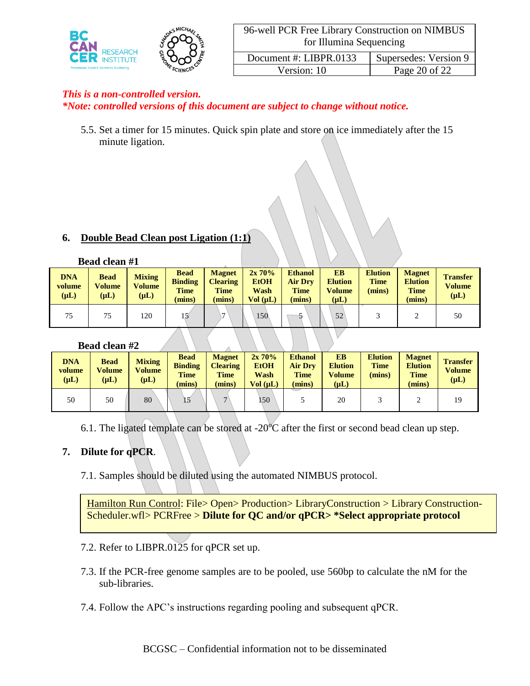

*\*Note: controlled versions of this document are subject to change without notice.*

5.5. Set a timer for 15 minutes. Quick spin plate and store on ice immediately after the 15 minute ligation.

### **6. Double Bead Clean post Ligation (1:1)**

#### **Bead clean #1**

| <b>DNA</b><br>volume<br>$(\mu L)$ | <b>Bead</b><br><b>Volume</b><br>$(\mu L)$ | <b>Mixing</b><br><b>Volume</b><br>$(\mu L)$ | <b>Bead</b><br><b>Binding</b><br><b>Time</b><br>(mins) | <b>Magnet</b><br><b>Clearing</b><br><b>Time</b><br>(mins) | $2x\,70\%$<br><b>EtOH</b><br>Wash<br>Vol (uL) | <b>Ethanol</b><br><b>Air Dry</b><br><b>Time</b><br>(mins) | EB<br><b>Elution</b><br>Volume<br>$(\mu L)$ | <b>Elution</b><br><b>Time</b><br>(mins) | <b>Magnet</b><br><b>Elution</b><br><b>Time</b><br>(mins) | <b>Transfer</b><br><b>Volume</b><br>$(\mu L)$ |
|-----------------------------------|-------------------------------------------|---------------------------------------------|--------------------------------------------------------|-----------------------------------------------------------|-----------------------------------------------|-----------------------------------------------------------|---------------------------------------------|-----------------------------------------|----------------------------------------------------------|-----------------------------------------------|
| 75                                | 75                                        | 120                                         |                                                        | $\mathbf{r}$                                              | 150                                           |                                                           | 52                                          |                                         |                                                          | 50                                            |

### **Bead clean #2**

| <b>DNA</b><br>volume<br>$(\mu L)$ | <b>Bead</b><br><b>Volume</b><br>$(\mu L)$ | <b>Mixing</b><br><b>Volume</b><br>$(\mu L)$ | <b>Bead</b><br><b>Binding</b><br><b>Time</b><br>(mins) | <b>Magnet</b><br><b>Clearing</b><br><b>Time</b><br>(mins) | $2x\,70\%$<br><b>EtOH</b><br>Wash<br>Vol (uL) | <b>Ethanol</b><br><b>Air Drv</b><br><b>Time</b><br>(mins) | EB<br><b>Elution</b><br>Volume<br>$(\mathbf{u} \mathbf{L})$ | <b>Elution</b><br><b>Time</b><br>(mins) | <b>Magnet</b><br><b>Elution</b><br><b>Time</b><br>(mins) | <b>Transfer</b><br><b>Volume</b><br>$(\mu L)$ |
|-----------------------------------|-------------------------------------------|---------------------------------------------|--------------------------------------------------------|-----------------------------------------------------------|-----------------------------------------------|-----------------------------------------------------------|-------------------------------------------------------------|-----------------------------------------|----------------------------------------------------------|-----------------------------------------------|
| 50                                | 50                                        | 80                                          | 15                                                     | $\mathbf{r}$                                              | 150                                           |                                                           | 20                                                          |                                         |                                                          | 19                                            |

6.1. The ligated template can be stored at  $-20^{\circ}$ C after the first or second bead clean up step.

### **7. Dilute for qPCR**.

7.1. Samples should be diluted using the automated NIMBUS protocol.

Hamilton Run Control: File> Open> Production> LibraryConstruction > Library Construction-Scheduler.wfl> PCRFree > **Dilute for QC and/or qPCR> \*Select appropriate protocol**

- 7.2. Refer to LIBPR.0125 for qPCR set up.
- 7.3. If the PCR-free genome samples are to be pooled, use 560bp to calculate the nM for the sub-libraries.
- 7.4. Follow the APC's instructions regarding pooling and subsequent qPCR.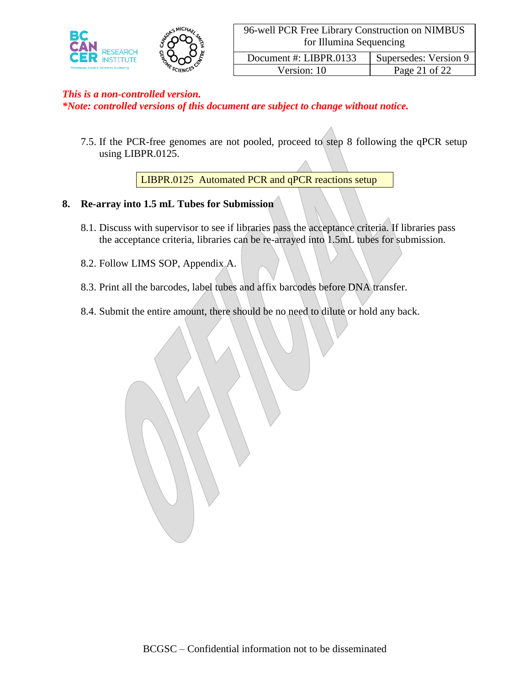

*\*Note: controlled versions of this document are subject to change without notice.*

7.5. If the PCR-free genomes are not pooled, proceed to step 8 following the qPCR setup using LIBPR.0125.

LIBPR.0125 Automated PCR and qPCR reactions setup

### **8. Re-array into 1.5 mL Tubes for Submission**

- 8.1. Discuss with supervisor to see if libraries pass the acceptance criteria. If libraries pass the acceptance criteria, libraries can be re-arrayed into 1.5mL tubes for submission.
- 8.2. Follow LIMS SOP, Appendix A.
- 8.3. Print all the barcodes, label tubes and affix barcodes before DNA transfer.
- 8.4. Submit the entire amount, there should be no need to dilute or hold any back.